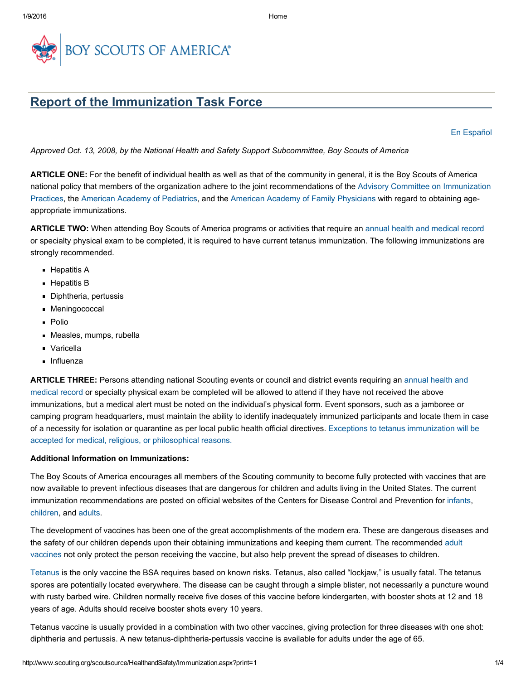

## Report of the Immunization Task Force

En [Español](http://www.scouting.org/scoutsource/HealthandSafety/Immunization.aspx?sc_lang=es-MX)

*Approved Oct. 13, 2008, by the National Health and Safety Support Subcommittee, Boy Scouts of America*

ARTICLE ONE: For the benefit of individual health as well as that of the community in general, it is the Boy Scouts of America national policy that members of the organization adhere to the joint [recommendations](http://www.cdc.gov/vaccines/recs/acip/default.htm) of the Advisory Committee on Immunization Practices, the American Academy of [Pediatrics,](http://www.aap.org/) and the American Academy of Family [Physicians](http://www.aafp.org/online/en/home.html) with regard to obtaining ageappropriate immunizations.

ARTICLE TWO: When attending Boy Scouts of America programs or activities that require an annual health and [medical](http://www.scouting.org/scoutsource/HealthandSafety/ahmr.aspx) record or specialty physical exam to be completed, it is required to have current tetanus immunization. The following immunizations are strongly recommended.

- **Hepatitis A**
- **Hepatitis B**
- Diphtheria, pertussis
- Meningococcal
- **Polio**
- Measles, mumps, rubella
- Varicella
- **Influenza**

ARTICLE THREE: Persons attending national Scouting events or council and district events requiring an annual health and medical record or specialty physical exam be [completed](http://www.scouting.org/scoutsource/HealthandSafety/ahmr.aspx) will be allowed to attend if they have not received the above immunizations, but a medical alert must be noted on the individual's physical form. Event sponsors, such as a jamboree or camping program headquarters, must maintain the ability to identify inadequately immunized participants and locate them in case of a necessity for isolation or quarantine as per local public health official directives. Exceptions to tetanus [immunization](http://www.scouting.org/filestore/pdf/680-451.pdf) will be accepted for medical, religious, or philosophical reasons.

## Additional Information on Immunizations:

The Boy Scouts of America encourages all members of the Scouting community to become fully protected with vaccines that are now available to prevent infectious diseases that are dangerous for children and adults living in the United States. The current immunization recommendations are posted on official websites of the Centers for Disease Control and Prevention for [infants](http://www.cdc.gov/vaccines/parents/infants-toddlers.html), [children](http://www.cdc.gov/vaccines/spec-grps/child_2-10yrs.htm#diseases), and [adults.](http://www.cdc.gov/vaccines/spec-grps/adults.htm)

The development of vaccines has been one of the great accomplishments of the modern era. These are dangerous diseases and the safety of our children depends upon their obtaining immunizations and keeping them current. The [recommended](http://www.cdc.gov/vaccines/schedules/easy-to-read/adult.html) adult vaccines not only protect the person receiving the vaccine, but also help prevent the spread of diseases to children.

[Tetanus](http://www.immunizationinfo.org/vaccineInfo/vaccine_detail.cfv?id=21) is the only vaccine the BSA requires based on known risks. Tetanus, also called "lockjaw," is usually fatal. The tetanus spores are potentially located everywhere. The disease can be caught through a simple blister, not necessarily a puncture wound with rusty barbed wire. Children normally receive five doses of this vaccine before kindergarten, with booster shots at 12 and 18 years of age. Adults should receive booster shots every 10 years.

Tetanus vaccine is usually provided in a combination with two other vaccines, giving protection for three diseases with one shot: diphtheria and pertussis. A new tetanus-diphtheria-pertussis vaccine is available for adults under the age of 65.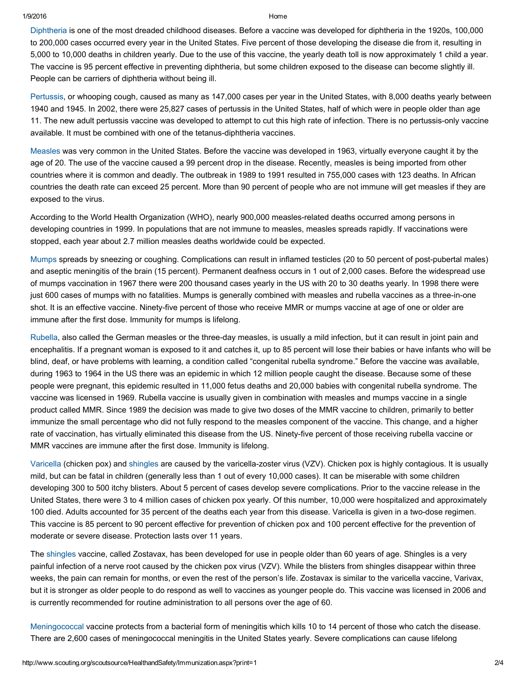1/9/2016 Home

[Diphtheria](http://www.immunizationinfo.org/vaccineInfo/vaccine_detail.cfv?id=2) is one of the most dreaded childhood diseases. Before a vaccine was developed for diphtheria in the 1920s, 100,000 to 200,000 cases occurred every year in the United States. Five percent of those developing the disease die from it, resulting in 5,000 to 10,000 deaths in children yearly. Due to the use of this vaccine, the yearly death toll is now approximately 1 child a year. The vaccine is 95 percent effective in preventing diphtheria, but some children exposed to the disease can become slightly ill. People can be carriers of diphtheria without being ill.

[Pertussis,](http://www.immunizationinfo.org/vaccineInfo/vaccine_detail.cfv?id=22) or whooping cough, caused as many as 147,000 cases per year in the United States, with 8,000 deaths yearly between 1940 and 1945. In 2002, there were 25,827 cases of pertussis in the United States, half of which were in people older than age 11. The new adult pertussis vaccine was developed to attempt to cut this high rate of infection. There is no pertussisonly vaccine available. It must be combined with one of the tetanus-diphtheria vaccines.

[Measles](http://www.immunizationinfo.org/vaccineInfo/vaccine_detail.cfv?id=8) was very common in the United States. Before the vaccine was developed in 1963, virtually everyone caught it by the age of 20. The use of the vaccine caused a 99 percent drop in the disease. Recently, measles is being imported from other countries where it is common and deadly. The outbreak in 1989 to 1991 resulted in 755,000 cases with 123 deaths. In African countries the death rate can exceed 25 percent. More than 90 percent of people who are not immune will get measles if they are exposed to the virus.

According to the World Health Organization (WHO), nearly 900,000 measles-related deaths occurred among persons in developing countries in 1999. In populations that are not immune to measles, measles spreads rapidly. If vaccinations were stopped, each year about 2.7 million measles deaths worldwide could be expected.

[Mumps](http://www.immunizationinfo.org/vaccineInfo/vaccine_detail.cfv?id=23) spreads by sneezing or coughing. Complications can result in inflamed testicles (20 to 50 percent of post-pubertal males) and aseptic meningitis of the brain (15 percent). Permanent deafness occurs in 1 out of 2,000 cases. Before the widespread use of mumps vaccination in 1967 there were 200 thousand cases yearly in the US with 20 to 30 deaths yearly. In 1998 there were just 600 cases of mumps with no fatalities. Mumps is generally combined with measles and rubella vaccines as a three-in-one shot. It is an effective vaccine. Ninety-five percent of those who receive MMR or mumps vaccine at age of one or older are immune after the first dose. Immunity for mumps is lifelong.

[Rubella](http://www.immunizationinfo.org/vaccineInfo/vaccine_detail.cfv?id=24), also called the German measles or the threeday measles, is usually a mild infection, but it can result in joint pain and encephalitis. If a pregnant woman is exposed to it and catches it, up to 85 percent will lose their babies or have infants who will be blind, deaf, or have problems with learning, a condition called "congenital rubella syndrome." Before the vaccine was available, during 1963 to 1964 in the US there was an epidemic in which 12 million people caught the disease. Because some of these people were pregnant, this epidemic resulted in 11,000 fetus deaths and 20,000 babies with congenital rubella syndrome. The vaccine was licensed in 1969. Rubella vaccine is usually given in combination with measles and mumps vaccine in a single product called MMR. Since 1989 the decision was made to give two doses of the MMR vaccine to children, primarily to better immunize the small percentage who did not fully respond to the measles component of the vaccine. This change, and a higher rate of vaccination, has virtually eliminated this disease from the US. Ninety-five percent of those receiving rubella vaccine or MMR vaccines are immune after the first dose. Immunity is lifelong.

[Varicella](http://www.immunizationinfo.org/vaccineInfo/vaccine_detail.cfv?id=11) (chicken pox) and [shingles](http://www.immunizationinfo.org/vaccineInfo/vaccine_detail.cfv?id=54) are caused by the varicella-zoster virus (VZV). Chicken pox is highly contagious. It is usually mild, but can be fatal in children (generally less than 1 out of every 10,000 cases). It can be miserable with some children developing 300 to 500 itchy blisters. About 5 percent of cases develop severe complications. Prior to the vaccine release in the United States, there were 3 to 4 million cases of chicken pox yearly. Of this number, 10,000 were hospitalized and approximately 100 died. Adults accounted for 35 percent of the deaths each year from this disease. Varicella is given in a two-dose regimen. This vaccine is 85 percent to 90 percent effective for prevention of chicken pox and 100 percent effective for the prevention of moderate or severe disease. Protection lasts over 11 years.

The [shingles](http://www.immunizationinfo.org/vaccineInfo/vaccine_detail.cfv?id=54) vaccine, called Zostavax, has been developed for use in people older than 60 years of age. Shingles is a very painful infection of a nerve root caused by the chicken pox virus (VZV). While the blisters from shingles disappear within three weeks, the pain can remain for months, or even the rest of the person's life. Zostavax is similar to the varicella vaccine, Varivax, but it is stronger as older people to do respond as well to vaccines as younger people do. This vaccine was licensed in 2006 and is currently recommended for routine administration to all persons over the age of 60.

[Meningococcal](http://www.immunizationinfo.org/vaccineInfo/vaccine_detail.cfv?id=15) vaccine protects from a bacterial form of meningitis which kills 10 to 14 percent of those who catch the disease. There are 2,600 cases of meningococcal meningitis in the United States yearly. Severe complications can cause lifelong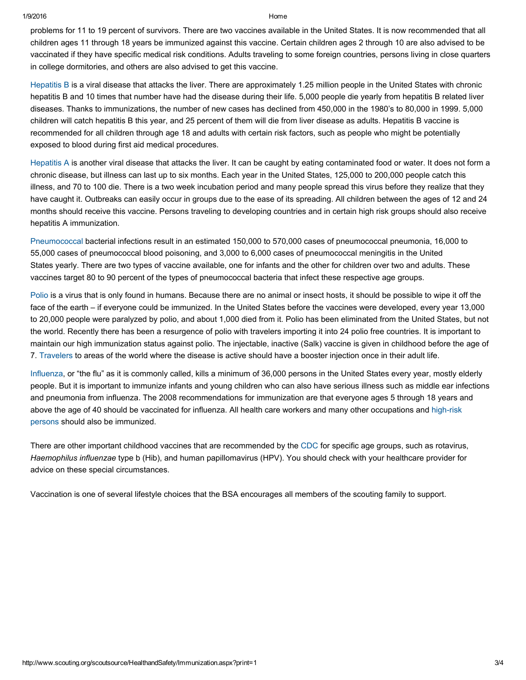1/9/2016 Home

problems for 11 to 19 percent of survivors. There are two vaccines available in the United States. It is now recommended that all children ages 11 through 18 years be immunized against this vaccine. Certain children ages 2 through 10 are also advised to be vaccinated if they have specific medical risk conditions. Adults traveling to some foreign countries, persons living in close quarters in college dormitories, and others are also advised to get this vaccine.

[Hepatitis](http://www.immunizationinfo.org/vaccineInfo/vaccine_detail.cfv?id=4) B is a viral disease that attacks the liver. There are approximately 1.25 million people in the United States with chronic hepatitis B and 10 times that number have had the disease during their life. 5,000 people die yearly from hepatitis B related liver diseases. Thanks to immunizations, the number of new cases has declined from 450,000 in the 1980's to 80,000 in 1999. 5,000 children will catch hepatitis B this year, and 25 percent of them will die from liver disease as adults. Hepatitis B vaccine is recommended for all children through age 18 and adults with certain risk factors, such as people who might be potentially exposed to blood during first aid medical procedures.

[Hepatitis](http://www.immunizationinfo.org/vaccineInfo/vaccine_detail.cfv?id=3) A is another viral disease that attacks the liver. It can be caught by eating contaminated food or water. It does not form a chronic disease, but illness can last up to six months. Each year in the United States, 125,000 to 200,000 people catch this illness, and 70 to 100 die. There is a two week incubation period and many people spread this virus before they realize that they have caught it. Outbreaks can easily occur in groups due to the ease of its spreading. All children between the ages of 12 and 24 months should receive this vaccine. Persons traveling to developing countries and in certain high risk groups should also receive hepatitis A immunization.

[Pneumococcal](http://www.immunizationinfo.org/vaccineInfo/vaccine_detail.cfv?id=9) bacterial infections result in an estimated 150,000 to 570,000 cases of pneumococcal pneumonia, 16,000 to 55,000 cases of pneumococcal blood poisoning, and 3,000 to 6,000 cases of pneumococcal meningitis in the United States yearly. There are two types of vaccine available, one for infants and the other for children over two and adults. These vaccines target 80 to 90 percent of the types of pneumococcal bacteria that infect these respective age groups.

[Polio](http://www.immunizationinfo.org/vaccineInfo/vaccine_detail.cfv?id=10) is a virus that is only found in humans. Because there are no animal or insect hosts, it should be possible to wipe it off the face of the earth – if everyone could be immunized. In the United States before the vaccines were developed, every year 13,000 to 20,000 people were paralyzed by polio, and about 1,000 died from it. Polio has been eliminated from the United States, but not the world. Recently there has been a resurgence of polio with travelers importing it into 24 polio free countries. It is important to maintain our high immunization status against polio. The injectable, inactive (Salk) vaccine is given in childhood before the age of 7. [Travelers](http://wwwn.cdc.gov/travel/contentVaccinations.aspx) to areas of the world where the disease is active should have a booster injection once in their adult life.

[Influenza](http://www.immunizationinfo.org/vaccineInfo/vaccine_detail.cfv?id=6), or "the flu" as it is commonly called, kills a minimum of 36,000 persons in the United States every year, mostly elderly people. But it is important to immunize infants and young children who can also have serious illness such as middle ear infections and pneumonia from influenza. The 2008 recommendations for immunization are that everyone ages 5 through 18 years and above the age of 40 should be vaccinated for influenza. All health care workers and many other [occupations](http://www.cdc.gov/flu/professionals/acip/index.htm) and high-risk persons should also be immunized.

There are other important childhood vaccines that are recommended by the [CDC](http://www.cdc.gov/vaccines/) for specific age groups, such as rotavirus, *Haemophilus influenzae* type b (Hib), and human papillomavirus (HPV). You should check with your healthcare provider for advice on these special circumstances.

Vaccination is one of several lifestyle choices that the BSA encourages all members of the scouting family to support.